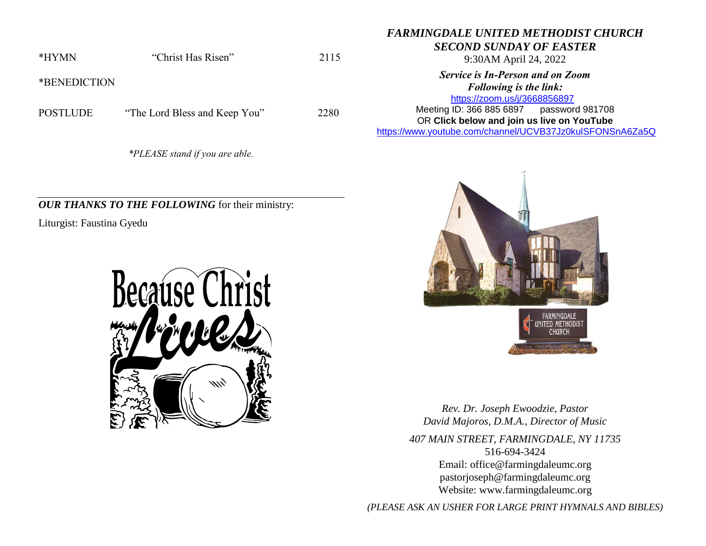*FARMINGDALE UNITED METHODIST CHURCH*

*SECOND SUNDAY OF EASTER*

9:30AM April 24, 2022

*Service is In-Person and on Zoom Following is the link:*

<https://zoom.us/j/3668856897> Meeting ID: 366 885 6897 password 981708 OR **Click below and join us live on YouTube** 

[https://www.youtube.com/channel/UCVB37Jz0kulSFONSnA6Za5Q](https://r20.rs6.net/tn.jsp?f=001k6RGPvPFbGGMIcfKWiNR_iQRr6wnePVJO5wPBmTGTUG-6H7Rno-Ccjzncf7RAcA2aCO1usCGiuYYhUDPog8HWc38p-B70aEHKS8a7AZ633unLlDnlsyY1rSZY7DrB1di009D1MFmnX36MQIEkLrC34ZIDpgMTMT95Xsd-rYhXX761Me0QKhAdY1E-Os86l7d&c=&ch=)



POSTLUDE "The Lord Bless and Keep You" 2280

*\*PLEASE stand if you are able.*

*OUR THANKS TO THE FOLLOWING* for their ministry:

Liturgist: Faustina Gyedu





*Rev. Dr. Joseph Ewoodzie, Pastor David Majoros, D.M.A., Director of Music*

*407 MAIN STREET, FARMINGDALE, NY 11735* 516-694-3424 Email: [office@farmingdaleumc.org](mailto:office@farmingdaleumc.org) pastorjoseph@farmingdaleumc.org Website: www.farmingdaleumc.org

*(PLEASE ASK AN USHER FOR LARGE PRINT HYMNALS AND BIBLES)*